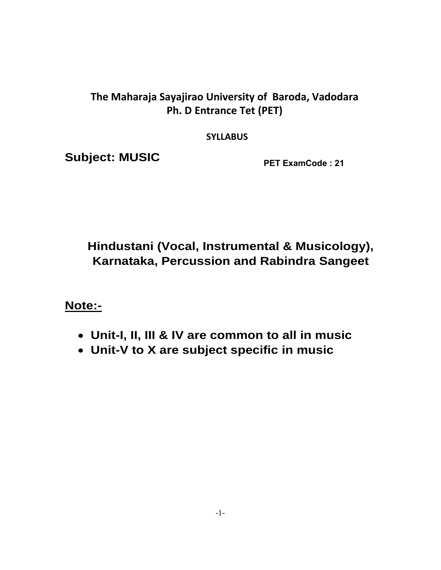# **The Maharaja Sayajirao University of Baroda, Vadodara Ph. D Entrance Tet (PET)**

**SYLLABUS** 

**Subject: MUSIC** 

**PET ExamCode : 21**

# **Hindustani (Vocal, Instrumental & Musicology), Karnataka, Percussion and Rabindra Sangeet**

**Note:-** 

- **Unit-I, II, III & IV are common to all in music**
- **Unit-V to X are subject specific in music**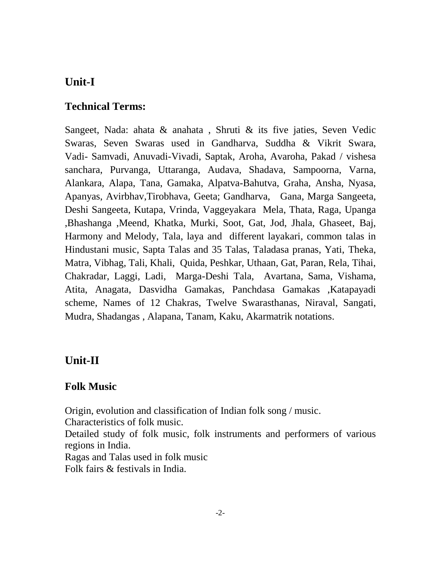## **Unit-I**

#### **Technical Terms:**

Sangeet, Nada: ahata & anahata , Shruti & its five jaties, Seven Vedic Swaras, Seven Swaras used in Gandharva, Suddha & Vikrit Swara, Vadi- Samvadi, Anuvadi-Vivadi, Saptak, Aroha, Avaroha, Pakad / vishesa sanchara, Purvanga, Uttaranga, Audava, Shadava, Sampoorna, Varna, Alankara, Alapa, Tana, Gamaka, Alpatva-Bahutva, Graha, Ansha, Nyasa, Apanyas, Avirbhav,Tirobhava, Geeta; Gandharva, Gana, Marga Sangeeta, Deshi Sangeeta, Kutapa, Vrinda, Vaggeyakara Mela, Thata, Raga, Upanga ,Bhashanga ,Meend, Khatka, Murki, Soot, Gat, Jod, Jhala, Ghaseet, Baj, Harmony and Melody, Tala, laya and different layakari, common talas in Hindustani music, Sapta Talas and 35 Talas, Taladasa pranas, Yati, Theka, Matra, Vibhag, Tali, Khali, Quida, Peshkar, Uthaan, Gat, Paran, Rela, Tihai, Chakradar, Laggi, Ladi, Marga-Deshi Tala, Avartana, Sama, Vishama, Atita, Anagata, Dasvidha Gamakas, Panchdasa Gamakas ,Katapayadi scheme, Names of 12 Chakras, Twelve Swarasthanas, Niraval, Sangati, Mudra, Shadangas , Alapana, Tanam, Kaku, Akarmatrik notations.

#### **Unit-II**

#### **Folk Music**

Origin, evolution and classification of Indian folk song / music.

Characteristics of folk music.

Detailed study of folk music, folk instruments and performers of various regions in India.

Ragas and Talas used in folk music

Folk fairs & festivals in India.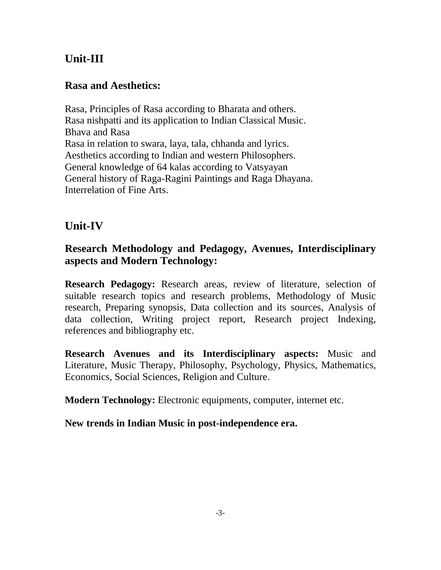# **Unit-III**

### **Rasa and Aesthetics:**

Rasa, Principles of Rasa according to Bharata and others. Rasa nishpatti and its application to Indian Classical Music. Bhava and Rasa Rasa in relation to swara, laya, tala, chhanda and lyrics. Aesthetics according to Indian and western Philosophers. General knowledge of 64 kalas according to Vatsyayan General history of Raga-Ragini Paintings and Raga Dhayana. Interrelation of Fine Arts.

# **Unit-IV**

### **Research Methodology and Pedagogy, Avenues, Interdisciplinary aspects and Modern Technology:**

**Research Pedagogy:** Research areas, review of literature, selection of suitable research topics and research problems, Methodology of Music research, Preparing synopsis, Data collection and its sources, Analysis of data collection, Writing project report, Research project Indexing, references and bibliography etc.

**Research Avenues and its Interdisciplinary aspects:** Music and Literature, Music Therapy, Philosophy, Psychology, Physics, Mathematics, Economics, Social Sciences, Religion and Culture.

**Modern Technology:** Electronic equipments, computer, internet etc.

#### **New trends in Indian Music in post-independence era.**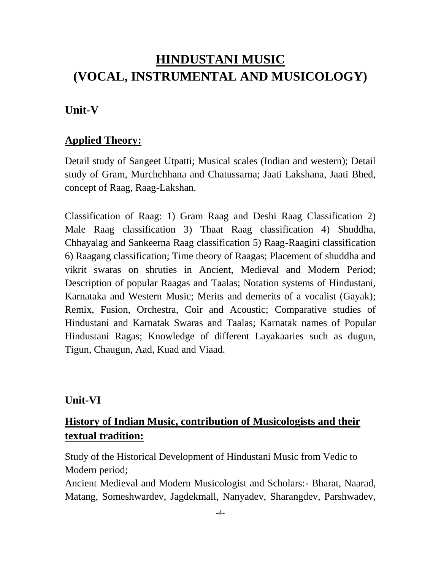# **HINDUSTANI MUSIC (VOCAL, INSTRUMENTAL AND MUSICOLOGY)**

#### **Unit-V**

#### **Applied Theory:**

Detail study of Sangeet Utpatti; Musical scales (Indian and western); Detail study of Gram, Murchchhana and Chatussarna; Jaati Lakshana, Jaati Bhed, concept of Raag, Raag-Lakshan.

Classification of Raag: 1) Gram Raag and Deshi Raag Classification 2) Male Raag classification 3) Thaat Raag classification 4) Shuddha, Chhayalag and Sankeerna Raag classification 5) Raag-Raagini classification 6) Raagang classification; Time theory of Raagas; Placement of shuddha and vikrit swaras on shruties in Ancient, Medieval and Modern Period; Description of popular Raagas and Taalas; Notation systems of Hindustani, Karnataka and Western Music; Merits and demerits of a vocalist (Gayak); Remix, Fusion, Orchestra, Coir and Acoustic; Comparative studies of Hindustani and Karnatak Swaras and Taalas; Karnatak names of Popular Hindustani Ragas; Knowledge of different Layakaaries such as dugun, Tigun, Chaugun, Aad, Kuad and Viaad.

#### **Unit-VI**

### **History of Indian Music, contribution of Musicologists and their textual tradition:**

Study of the Historical Development of Hindustani Music from Vedic to Modern period;

Ancient Medieval and Modern Musicologist and Scholars:- Bharat, Naarad, Matang, Someshwardev, Jagdekmall, Nanyadev, Sharangdev, Parshwadev,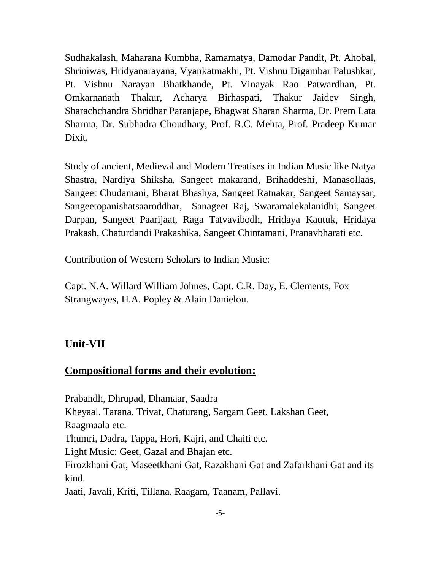Sudhakalash, Maharana Kumbha, Ramamatya, Damodar Pandit, Pt. Ahobal, Shriniwas, Hridyanarayana, Vyankatmakhi, Pt. Vishnu Digambar Palushkar, Pt. Vishnu Narayan Bhatkhande, Pt. Vinayak Rao Patwardhan, Pt. Omkarnanath Thakur, Acharya Birhaspati, Thakur Jaidev Singh, Sharachchandra Shridhar Paranjape, Bhagwat Sharan Sharma, Dr. Prem Lata Sharma, Dr. Subhadra Choudhary, Prof. R.C. Mehta, Prof. Pradeep Kumar Dixit.

Study of ancient, Medieval and Modern Treatises in Indian Music like Natya Shastra, Nardiya Shiksha, Sangeet makarand, Brihaddeshi, Manasollaas, Sangeet Chudamani, Bharat Bhashya, Sangeet Ratnakar, Sangeet Samaysar, Sangeetopanishatsaaroddhar, Sanageet Raj, Swaramalekalanidhi, Sangeet Darpan, Sangeet Paarijaat, Raga Tatvavibodh, Hridaya Kautuk, Hridaya Prakash, Chaturdandi Prakashika, Sangeet Chintamani, Pranavbharati etc.

Contribution of Western Scholars to Indian Music:

Capt. N.A. Willard William Johnes, Capt. C.R. Day, E. Clements, Fox Strangwayes, H.A. Popley & Alain Danielou.

#### **Unit-VII**

#### **Compositional forms and their evolution:**

Prabandh, Dhrupad, Dhamaar, Saadra Kheyaal, Tarana, Trivat, Chaturang, Sargam Geet, Lakshan Geet, Raagmaala etc. Thumri, Dadra, Tappa, Hori, Kajri, and Chaiti etc. Light Music: Geet, Gazal and Bhajan etc. Firozkhani Gat, Maseetkhani Gat, Razakhani Gat and Zafarkhani Gat and its kind. Jaati, Javali, Kriti, Tillana, Raagam, Taanam, Pallavi.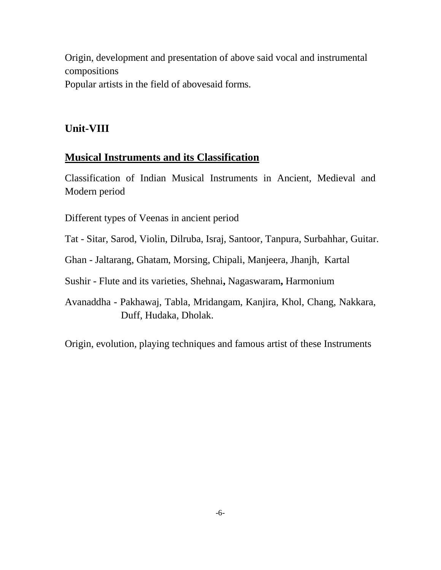Origin, development and presentation of above said vocal and instrumental compositions Popular artists in the field of abovesaid forms.

#### **Unit-VIII**

#### **Musical Instruments and its Classification**

Classification of Indian Musical Instruments in Ancient, Medieval and Modern period

Different types of Veenas in ancient period

Tat - Sitar, Sarod, Violin, Dilruba, Israj, Santoor, Tanpura, Surbahhar, Guitar.

Ghan - Jaltarang, Ghatam, Morsing, Chipali, Manjeera, Jhanjh, Kartal

Sushir - Flute and its varieties, Shehnai**,** Nagaswaram**,** Harmonium

Avanaddha - Pakhawaj, Tabla, Mridangam, Kanjira, Khol, Chang, Nakkara, Duff, Hudaka, Dholak.

Origin, evolution, playing techniques and famous artist of these Instruments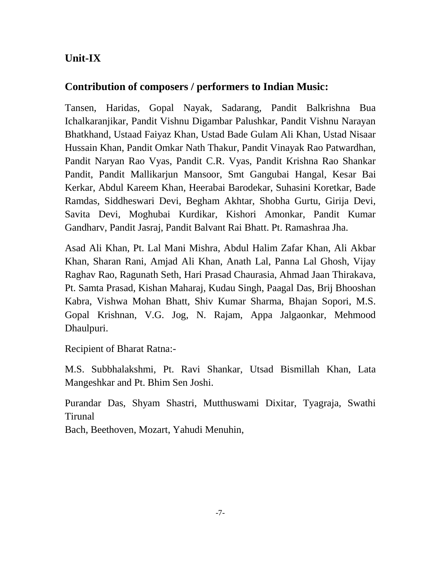## **Unit-IX**

#### **Contribution of composers / performers to Indian Music:**

Tansen, Haridas, Gopal Nayak, Sadarang, Pandit Balkrishna Bua Ichalkaranjikar, Pandit Vishnu Digambar Palushkar, Pandit Vishnu Narayan Bhatkhand, Ustaad Faiyaz Khan, Ustad Bade Gulam Ali Khan, Ustad Nisaar Hussain Khan, Pandit Omkar Nath Thakur, Pandit Vinayak Rao Patwardhan, Pandit Naryan Rao Vyas, Pandit C.R. Vyas, Pandit Krishna Rao Shankar Pandit, Pandit Mallikarjun Mansoor, Smt Gangubai Hangal, Kesar Bai Kerkar, Abdul Kareem Khan, Heerabai Barodekar, Suhasini Koretkar, Bade Ramdas, Siddheswari Devi, Begham Akhtar, Shobha Gurtu, Girija Devi, Savita Devi, Moghubai Kurdikar, Kishori Amonkar, Pandit Kumar Gandharv, Pandit Jasraj, Pandit Balvant Rai Bhatt. Pt. Ramashraa Jha.

Asad Ali Khan, Pt. Lal Mani Mishra, Abdul Halim Zafar Khan, Ali Akbar Khan, Sharan Rani, Amjad Ali Khan, Anath Lal, Panna Lal Ghosh, Vijay Raghav Rao, Ragunath Seth, Hari Prasad Chaurasia, Ahmad Jaan Thirakava, Pt. Samta Prasad, Kishan Maharaj, Kudau Singh, Paagal Das, Brij Bhooshan Kabra, Vishwa Mohan Bhatt, Shiv Kumar Sharma, Bhajan Sopori, M.S. Gopal Krishnan, V.G. Jog, N. Rajam, Appa Jalgaonkar, Mehmood Dhaulpuri.

Recipient of Bharat Ratna:-

M.S. Subbhalakshmi, Pt. Ravi Shankar, Utsad Bismillah Khan, Lata Mangeshkar and Pt. Bhim Sen Joshi.

Purandar Das, Shyam Shastri, Mutthuswami Dixitar, Tyagraja, Swathi Tirunal

Bach, Beethoven, Mozart, Yahudi Menuhin,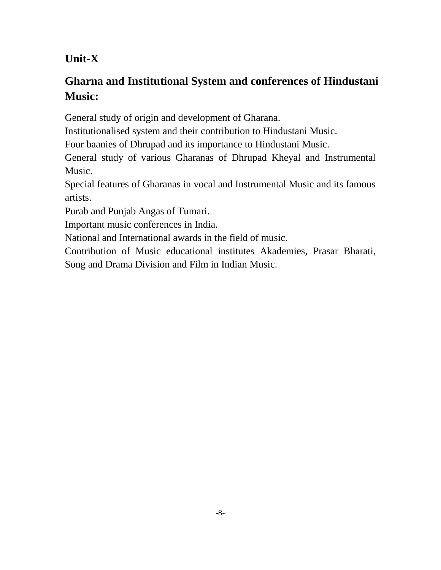# **Unit-X**

# **Gharna and Institutional System and conferences of Hindustani Music:**

General study of origin and development of Gharana.

Institutionalised system and their contribution to Hindustani Music.

Four baanies of Dhrupad and its importance to Hindustani Music.

General study of various Gharanas of Dhrupad Kheyal and Instrumental Music.

Special features of Gharanas in vocal and Instrumental Music and its famous artists.

Purab and Punjab Angas of Tumari.

Important music conferences in India.

National and International awards in the field of music.

Contribution of Music educational institutes Akademies, Prasar Bharati, Song and Drama Division and Film in Indian Music.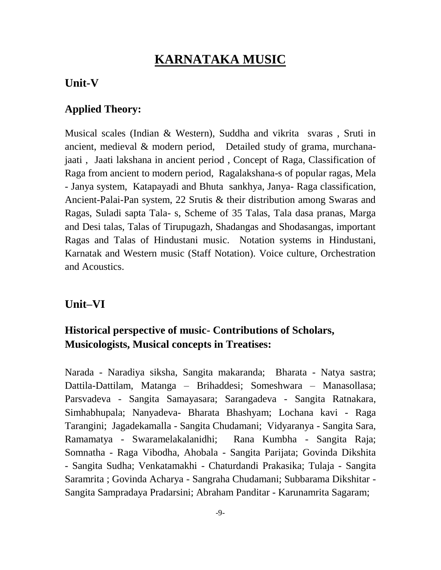# **KARNATAKA MUSIC**

#### **Unit-V**

### **Applied Theory:**

Musical scales (Indian & Western), Suddha and vikrita svaras , Sruti in ancient, medieval & modern period, Detailed study of grama, murchanajaati , Jaati lakshana in ancient period , Concept of Raga, Classification of Raga from ancient to modern period, Ragalakshana-s of popular ragas, Mela - Janya system, Katapayadi and Bhuta sankhya, Janya- Raga classification, Ancient-Palai-Pan system, 22 Srutis & their distribution among Swaras and Ragas, Suladi sapta Tala- s, Scheme of 35 Talas, Tala dasa pranas, Marga and Desi talas, Talas of Tirupugazh, Shadangas and Shodasangas, important Ragas and Talas of Hindustani music. Notation systems in Hindustani, Karnatak and Western music (Staff Notation). Voice culture, Orchestration and Acoustics.

### **Unit–VI**

# **Historical perspective of music- Contributions of Scholars, Musicologists, Musical concepts in Treatises:**

Narada - Naradiya siksha, Sangita makaranda; Bharata - Natya sastra; Dattila-Dattilam, Matanga – Brihaddesi; Someshwara – Manasollasa; Parsvadeva - Sangita Samayasara; Sarangadeva - Sangita Ratnakara, Simhabhupala; Nanyadeva- Bharata Bhashyam; Lochana kavi - Raga Tarangini; Jagadekamalla - Sangita Chudamani; Vidyaranya - Sangita Sara, Ramamatya - Swaramelakalanidhi; Rana Kumbha - Sangita Raja; Somnatha - Raga Vibodha, Ahobala - Sangita Parijata; Govinda Dikshita - Sangita Sudha; Venkatamakhi - Chaturdandi Prakasika; Tulaja - Sangita Saramrita ; Govinda Acharya - Sangraha Chudamani; Subbarama Dikshitar - Sangita Sampradaya Pradarsini; Abraham Panditar - Karunamrita Sagaram;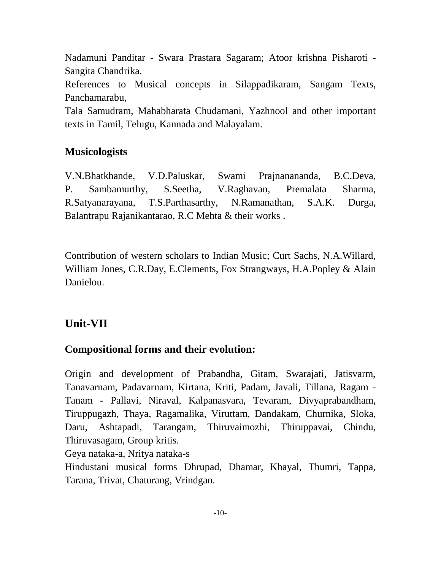Nadamuni Panditar - Swara Prastara Sagaram; Atoor krishna Pisharoti - Sangita Chandrika.

References to Musical concepts in Silappadikaram, Sangam Texts, Panchamarabu,

Tala Samudram, Mahabharata Chudamani, Yazhnool and other important texts in Tamil, Telugu, Kannada and Malayalam.

### **Musicologists**

V.N.Bhatkhande, V.D.Paluskar, Swami Prajnanananda, B.C.Deva, P. Sambamurthy, S.Seetha, V.Raghavan, Premalata Sharma, R.Satyanarayana, T.S.Parthasarthy, N.Ramanathan, S.A.K. Durga, Balantrapu Rajanikantarao, R.C Mehta & their works .

Contribution of western scholars to Indian Music; Curt Sachs, N.A.Willard, William Jones, C.R.Day, E.Clements, Fox Strangways, H.A.Popley & Alain Danielou.

# **Unit-VII**

### **Compositional forms and their evolution:**

Origin and development of Prabandha, Gitam, Swarajati, Jatisvarm, Tanavarnam, Padavarnam, Kirtana, Kriti, Padam, Javali, Tillana, Ragam - Tanam - Pallavi, Niraval, Kalpanasvara, Tevaram, Divyaprabandham, Tiruppugazh, Thaya, Ragamalika, Viruttam, Dandakam, Churnika, Sloka, Daru, Ashtapadi, Tarangam, Thiruvaimozhi, Thiruppavai, Chindu, Thiruvasagam, Group kritis.

Geya nataka-a, Nritya nataka-s

Hindustani musical forms Dhrupad, Dhamar, Khayal, Thumri, Tappa, Tarana, Trivat, Chaturang, Vrindgan.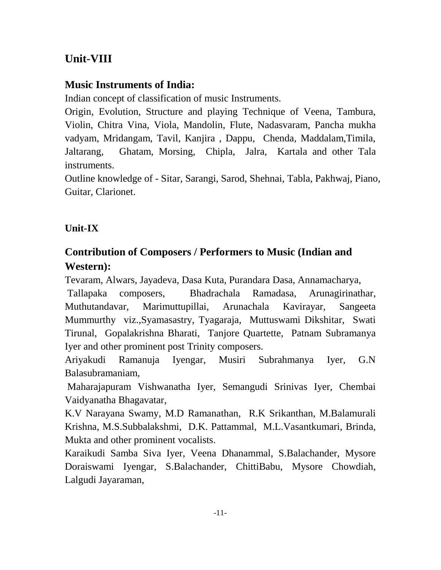# **Unit-VIII**

# **Music Instruments of India:**

Indian concept of classification of music Instruments.

Origin, Evolution, Structure and playing Technique of Veena, Tambura, Violin, Chitra Vina, Viola, Mandolin, Flute, Nadasvaram, Pancha mukha vadyam, Mridangam, Tavil, Kanjira , Dappu, Chenda, Maddalam,Timila, Jaltarang, Ghatam, Morsing, Chipla, Jalra, Kartala and other Tala instruments.

Outline knowledge of - Sitar, Sarangi, Sarod, Shehnai, Tabla, Pakhwaj, Piano, Guitar, Clarionet.

# **Unit-IX**

# **Contribution of Composers / Performers to Music (Indian and Western):**

Tevaram, Alwars, Jayadeva, Dasa Kuta, Purandara Dasa, Annamacharya,

Tallapaka composers, Bhadrachala Ramadasa, Arunagirinathar, Muthutandavar, Marimuttupillai, Arunachala Kavirayar, Sangeeta Mummurthy viz.,Syamasastry, Tyagaraja, Muttuswami Dikshitar, Swati Tirunal, Gopalakrishna Bharati, Tanjore Quartette, Patnam Subramanya Iyer and other prominent post Trinity composers.

Ariyakudi Ramanuja Iyengar, Musiri Subrahmanya Iyer, G.N Balasubramaniam,

Maharajapuram Vishwanatha Iyer, Semangudi Srinivas Iyer, Chembai Vaidyanatha Bhagavatar,

K.V Narayana Swamy, M.D Ramanathan, R.K Srikanthan, M.Balamurali Krishna, M.S.Subbalakshmi, D.K. Pattammal, M.L.Vasantkumari, Brinda, Mukta and other prominent vocalists.

Karaikudi Samba Siva Iyer, Veena Dhanammal, S.Balachander, Mysore Doraiswami Iyengar, S.Balachander, ChittiBabu, Mysore Chowdiah, Lalgudi Jayaraman,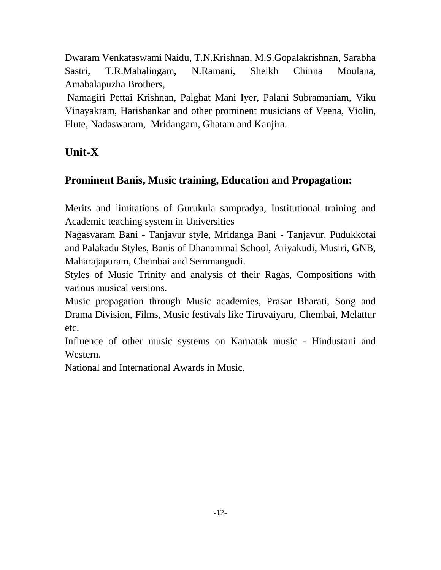Dwaram Venkataswami Naidu, T.N.Krishnan, M.S.Gopalakrishnan, Sarabha Sastri, T.R.Mahalingam, N.Ramani, Sheikh Chinna Moulana, Amabalapuzha Brothers,

Namagiri Pettai Krishnan, Palghat Mani Iyer, Palani Subramaniam, Viku Vinayakram, Harishankar and other prominent musicians of Veena, Violin, Flute, Nadaswaram, Mridangam, Ghatam and Kanjira.

# **Unit-X**

# **Prominent Banis, Music training, Education and Propagation:**

Merits and limitations of Gurukula sampradya, Institutional training and Academic teaching system in Universities

Nagasvaram Bani - Tanjavur style, Mridanga Bani - Tanjavur, Pudukkotai and Palakadu Styles, Banis of Dhanammal School, Ariyakudi, Musiri, GNB, Maharajapuram, Chembai and Semmangudi.

Styles of Music Trinity and analysis of their Ragas, Compositions with various musical versions.

Music propagation through Music academies, Prasar Bharati, Song and Drama Division, Films, Music festivals like Tiruvaiyaru, Chembai, Melattur etc.

Influence of other music systems on Karnatak music - Hindustani and Western.

National and International Awards in Music.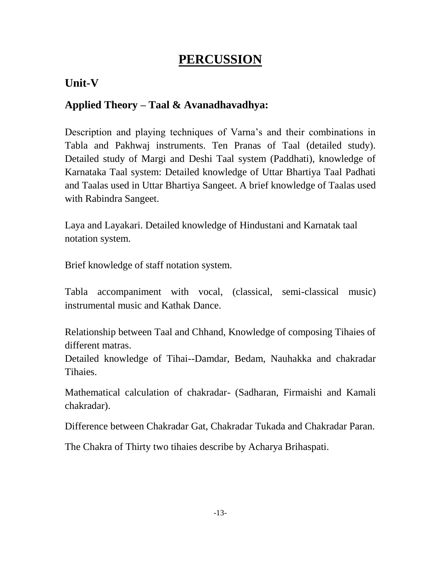# **PERCUSSION**

# **Unit-V**

# **Applied Theory – Taal & Avanadhavadhya:**

Description and playing techniques of Varna's and their combinations in Tabla and Pakhwaj instruments. Ten Pranas of Taal (detailed study). Detailed study of Margi and Deshi Taal system (Paddhati), knowledge of Karnataka Taal system: Detailed knowledge of Uttar Bhartiya Taal Padhati and Taalas used in Uttar Bhartiya Sangeet. A brief knowledge of Taalas used with Rabindra Sangeet.

Laya and Layakari. Detailed knowledge of Hindustani and Karnatak taal notation system.

Brief knowledge of staff notation system.

Tabla accompaniment with vocal, (classical, semi-classical music) instrumental music and Kathak Dance.

Relationship between Taal and Chhand, Knowledge of composing Tihaies of different matras.

Detailed knowledge of Tihai--Damdar, Bedam, Nauhakka and chakradar Tihaies.

Mathematical calculation of chakradar- (Sadharan, Firmaishi and Kamali chakradar).

Difference between Chakradar Gat, Chakradar Tukada and Chakradar Paran.

The Chakra of Thirty two tihaies describe by Acharya Brihaspati.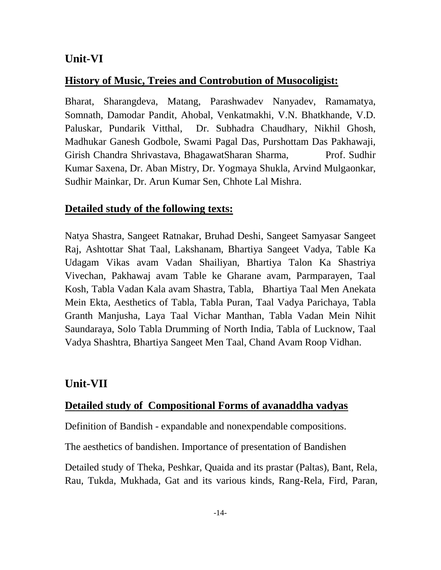#### **Unit-VI**

#### **History of Music, Treies and Controbution of Musocoligist:**

Bharat, Sharangdeva, Matang, Parashwadev Nanyadev, Ramamatya, Somnath, Damodar Pandit, Ahobal, Venkatmakhi, V.N. Bhatkhande, V.D. Paluskar, Pundarik Vitthal, Dr. Subhadra Chaudhary, Nikhil Ghosh, Madhukar Ganesh Godbole, Swami Pagal Das, Purshottam Das Pakhawaji, Girish Chandra Shrivastava, BhagawatSharan Sharma, Prof. Sudhir Kumar Saxena, Dr. Aban Mistry, Dr. Yogmaya Shukla, Arvind Mulgaonkar, Sudhir Mainkar, Dr. Arun Kumar Sen, Chhote Lal Mishra.

#### **Detailed study of the following texts:**

Natya Shastra, Sangeet Ratnakar, Bruhad Deshi, Sangeet Samyasar Sangeet Raj, Ashtottar Shat Taal, Lakshanam, Bhartiya Sangeet Vadya, Table Ka Udagam Vikas avam Vadan Shailiyan, Bhartiya Talon Ka Shastriya Vivechan, Pakhawaj avam Table ke Gharane avam, Parmparayen, Taal Kosh, Tabla Vadan Kala avam Shastra, Tabla, Bhartiya Taal Men Anekata Mein Ekta, Aesthetics of Tabla, Tabla Puran, Taal Vadya Parichaya, Tabla Granth Manjusha, Laya Taal Vichar Manthan, Tabla Vadan Mein Nihit Saundaraya, Solo Tabla Drumming of North India, Tabla of Lucknow, Taal Vadya Shashtra, Bhartiya Sangeet Men Taal, Chand Avam Roop Vidhan.

#### **Unit-VII**

#### **Detailed study of Compositional Forms of avanaddha vadyas**

Definition of Bandish - expandable and nonexpendable compositions.

The aesthetics of bandishen. Importance of presentation of Bandishen

Detailed study of Theka, Peshkar, Quaida and its prastar (Paltas), Bant, Rela, Rau, Tukda, Mukhada, Gat and its various kinds, Rang-Rela, Fird, Paran,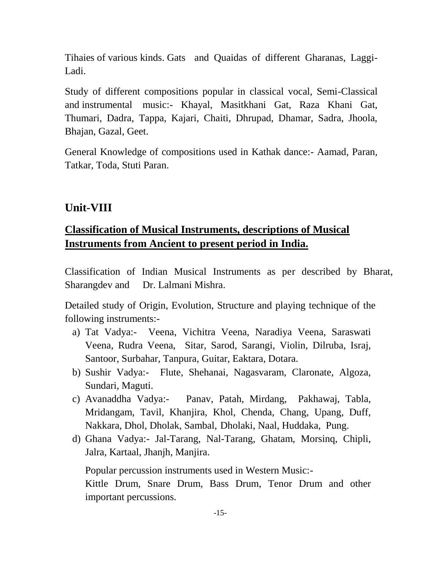Tihaies of various kinds. Gats and Quaidas of different Gharanas, Laggi-Ladi.

Study of different compositions popular in classical vocal, Semi-Classical and instrumental music:- Khayal, Masitkhani Gat, Raza Khani Gat, Thumari, Dadra, Tappa, Kajari, Chaiti, Dhrupad, Dhamar, Sadra, Jhoola, Bhajan, Gazal, Geet.

General Knowledge of compositions used in Kathak dance:- Aamad, Paran, Tatkar, Toda, Stuti Paran.

# **Unit-VIII**

# **Classification of Musical Instruments, descriptions of Musical Instruments from Ancient to present period in India.**

Classification of Indian Musical Instruments as per described by Bharat, Sharangdev and Dr. Lalmani Mishra.

Detailed study of Origin, Evolution, Structure and playing technique of the following instruments:-

- a) Tat Vadya:- Veena, Vichitra Veena, Naradiya Veena, Saraswati Veena, Rudra Veena, Sitar, Sarod, Sarangi, Violin, Dilruba, Israj, Santoor, Surbahar, Tanpura, Guitar, Eaktara, Dotara.
- b) Sushir Vadya:- Flute, Shehanai, Nagasvaram, Claronate, Algoza, Sundari, Maguti.
- c) Avanaddha Vadya:- Panav, Patah, Mirdang, Pakhawaj, Tabla, Mridangam, Tavil, Khanjira, Khol, Chenda, Chang, Upang, Duff, Nakkara, Dhol, Dholak, Sambal, Dholaki, Naal, Huddaka, Pung.
- d) Ghana Vadya:- Jal-Tarang, Nal-Tarang, Ghatam, Morsinq, Chipli, Jalra, Kartaal, Jhanjh, Manjira.

Popular percussion instruments used in Western Music:- Kittle Drum, Snare Drum, Bass Drum, Tenor Drum and other important percussions.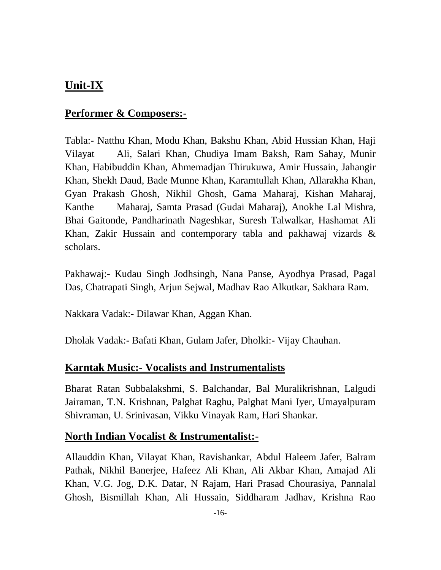# **Unit-IX**

### **Performer & Composers:-**

Tabla:- Natthu Khan, Modu Khan, Bakshu Khan, Abid Hussian Khan, Haji Vilayat Ali, Salari Khan, Chudiya Imam Baksh, Ram Sahay, Munir Khan, Habibuddin Khan, Ahmemadjan Thirukuwa, Amir Hussain, Jahangir Khan, Shekh Daud, Bade Munne Khan, Karamtullah Khan, Allarakha Khan, Gyan Prakash Ghosh, Nikhil Ghosh, Gama Maharaj, Kishan Maharaj, Kanthe Maharaj, Samta Prasad (Gudai Maharaj), Anokhe Lal Mishra, Bhai Gaitonde, Pandharinath Nageshkar, Suresh Talwalkar, Hashamat Ali Khan, Zakir Hussain and contemporary tabla and pakhawaj vizards & scholars.

Pakhawaj:- Kudau Singh Jodhsingh, Nana Panse, Ayodhya Prasad, Pagal Das, Chatrapati Singh, Arjun Sejwal, Madhav Rao Alkutkar, Sakhara Ram.

Nakkara Vadak:- Dilawar Khan, Aggan Khan.

Dholak Vadak:- Bafati Khan, Gulam Jafer, Dholki:- Vijay Chauhan.

### **Karntak Music:- Vocalists and Instrumentalists**

Bharat Ratan Subbalakshmi, S. Balchandar, Bal Muralikrishnan, Lalgudi Jairaman, T.N. Krishnan, Palghat Raghu, Palghat Mani Iyer, Umayalpuram Shivraman, U. Srinivasan, Vikku Vinayak Ram, Hari Shankar.

#### **North Indian Vocalist & Instrumentalist:-**

Allauddin Khan, Vilayat Khan, Ravishankar, Abdul Haleem Jafer, Balram Pathak, Nikhil Banerjee, Hafeez Ali Khan, Ali Akbar Khan, Amajad Ali Khan, V.G. Jog, D.K. Datar, N Rajam, Hari Prasad Chourasiya, Pannalal Ghosh, Bismillah Khan, Ali Hussain, Siddharam Jadhav, Krishna Rao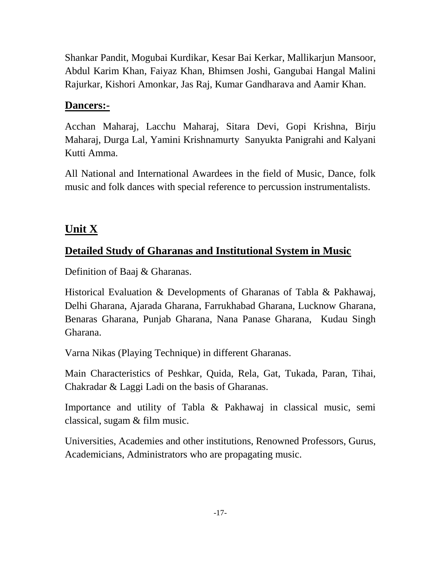Shankar Pandit, Mogubai Kurdikar, Kesar Bai Kerkar, Mallikarjun Mansoor, Abdul Karim Khan, Faiyaz Khan, Bhimsen Joshi, Gangubai Hangal Malini Rajurkar, Kishori Amonkar, Jas Raj, Kumar Gandharava and Aamir Khan.

## **Dancers:-**

Acchan Maharaj, Lacchu Maharaj, Sitara Devi, Gopi Krishna, Birju Maharaj, Durga Lal, Yamini Krishnamurty Sanyukta Panigrahi and Kalyani Kutti Amma.

All National and International Awardees in the field of Music, Dance, folk music and folk dances with special reference to percussion instrumentalists.

# **Unit X**

# **Detailed Study of Gharanas and Institutional System in Music**

Definition of Baaj & Gharanas.

Historical Evaluation & Developments of Gharanas of Tabla & Pakhawaj, Delhi Gharana, Ajarada Gharana, Farrukhabad Gharana, Lucknow Gharana, Benaras Gharana, Punjab Gharana, Nana Panase Gharana, Kudau Singh Gharana.

Varna Nikas (Playing Technique) in different Gharanas.

Main Characteristics of Peshkar, Quida, Rela, Gat, Tukada, Paran, Tihai, Chakradar & Laggi Ladi on the basis of Gharanas.

Importance and utility of Tabla & Pakhawaj in classical music, semi classical, sugam & film music.

Universities, Academies and other institutions, Renowned Professors, Gurus, Academicians, Administrators who are propagating music.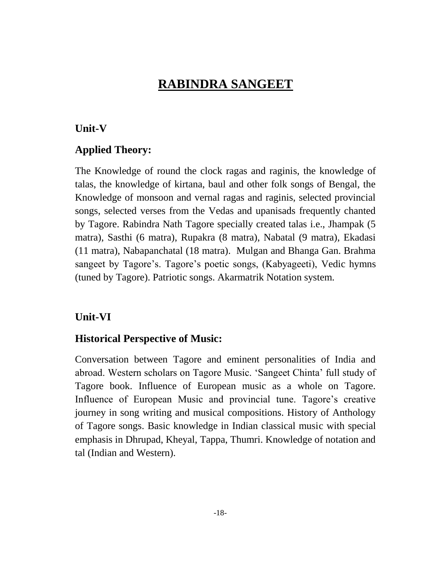# **RABINDRA SANGEET**

#### **Unit-V**

#### **Applied Theory:**

The Knowledge of round the clock ragas and raginis, the knowledge of talas, the knowledge of kirtana, baul and other folk songs of Bengal, the Knowledge of monsoon and vernal ragas and raginis, selected provincial songs, selected verses from the Vedas and upanisads frequently chanted by Tagore. Rabindra Nath Tagore specially created talas i.e., Jhampak (5 matra), Sasthi (6 matra), Rupakra (8 matra), Nabatal (9 matra), Ekadasi (11 matra), Nabapanchatal (18 matra). Mulgan and Bhanga Gan. Brahma sangeet by Tagore's. Tagore's poetic songs, (Kabyageeti), Vedic hymns (tuned by Tagore). Patriotic songs. Akarmatrik Notation system.

#### **Unit-VI**

#### **Historical Perspective of Music:**

Conversation between Tagore and eminent personalities of India and abroad. Western scholars on Tagore Music. 'Sangeet Chinta' full study of Tagore book. Influence of European music as a whole on Tagore. Influence of European Music and provincial tune. Tagore's creative journey in song writing and musical compositions. History of Anthology of Tagore songs. Basic knowledge in Indian classical music with special emphasis in Dhrupad, Kheyal, Tappa, Thumri. Knowledge of notation and tal (Indian and Western).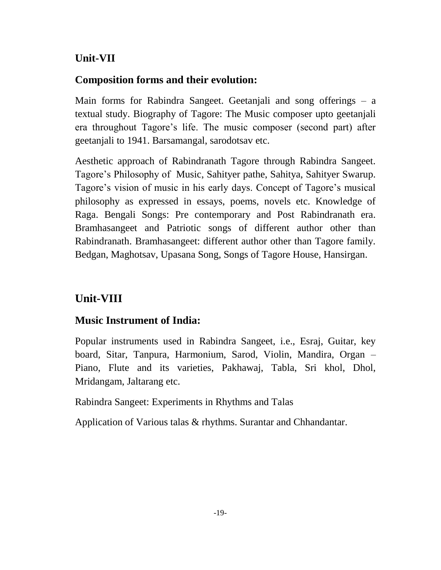### **Unit-VII**

#### **Composition forms and their evolution:**

Main forms for Rabindra Sangeet. Geetanjali and song offerings – a textual study. Biography of Tagore: The Music composer upto geetanjali era throughout Tagore's life. The music composer (second part) after geetanjali to 1941. Barsamangal, sarodotsav etc.

Aesthetic approach of Rabindranath Tagore through Rabindra Sangeet. Tagore's Philosophy of Music, Sahityer pathe, Sahitya, Sahityer Swarup. Tagore's vision of music in his early days. Concept of Tagore's musical philosophy as expressed in essays, poems, novels etc. Knowledge of Raga. Bengali Songs: Pre contemporary and Post Rabindranath era. Bramhasangeet and Patriotic songs of different author other than Rabindranath. Bramhasangeet: different author other than Tagore family. Bedgan, Maghotsav, Upasana Song, Songs of Tagore House, Hansirgan.

### **Unit-VIII**

#### **Music Instrument of India:**

Popular instruments used in Rabindra Sangeet, i.e., Esraj, Guitar, key board, Sitar, Tanpura, Harmonium, Sarod, Violin, Mandira, Organ – Piano, Flute and its varieties, Pakhawaj, Tabla, Sri khol, Dhol, Mridangam, Jaltarang etc.

Rabindra Sangeet: Experiments in Rhythms and Talas

Application of Various talas & rhythms. Surantar and Chhandantar.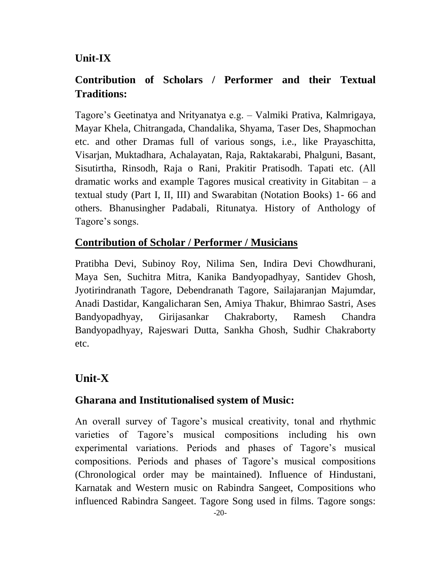# **Unit-IX**

# **Contribution of Scholars / Performer and their Textual Traditions:**

Tagore's Geetinatya and Nrityanatya e.g. – Valmiki Prativa, Kalmrigaya, Mayar Khela, Chitrangada, Chandalika, Shyama, Taser Des, Shapmochan etc. and other Dramas full of various songs, i.e., like Prayaschitta, Visarjan, Muktadhara, Achalayatan, Raja, Raktakarabi, Phalguni, Basant, Sisutirtha, Rinsodh, Raja o Rani, Prakitir Pratisodh. Tapati etc. (All dramatic works and example Tagores musical creativity in Gitabitan – a textual study (Part I, II, III) and Swarabitan (Notation Books) 1- 66 and others. Bhanusingher Padabali, Ritunatya. History of Anthology of Tagore's songs.

## **Contribution of Scholar / Performer / Musicians**

Pratibha Devi, Subinoy Roy, Nilima Sen, Indira Devi Chowdhurani, Maya Sen, Suchitra Mitra, Kanika Bandyopadhyay, Santidev Ghosh, Jyotirindranath Tagore, Debendranath Tagore, Sailajaranjan Majumdar, Anadi Dastidar, Kangalicharan Sen, Amiya Thakur, Bhimrao Sastri, Ases Bandyopadhyay, Girijasankar Chakraborty, Ramesh Chandra Bandyopadhyay, Rajeswari Dutta, Sankha Ghosh, Sudhir Chakraborty etc.

# **Unit-X**

### **Gharana and Institutionalised system of Music:**

An overall survey of Tagore's musical creativity, tonal and rhythmic varieties of Tagore's musical compositions including his own experimental variations. Periods and phases of Tagore's musical compositions. Periods and phases of Tagore's musical compositions (Chronological order may be maintained). Influence of Hindustani, Karnatak and Western music on Rabindra Sangeet, Compositions who influenced Rabindra Sangeet. Tagore Song used in films. Tagore songs: